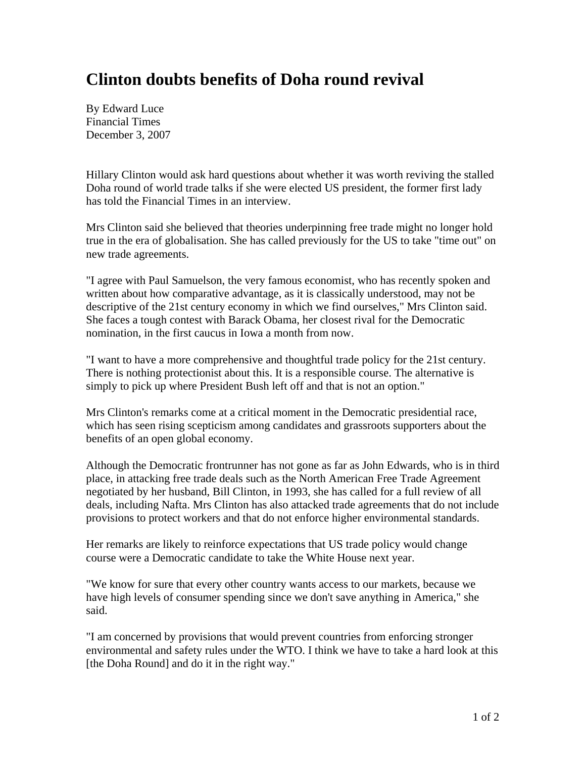## **Clinton doubts benefits of Doha round revival**

By Edward Luce Financial Times December 3, 2007

Hillary Clinton would ask hard questions about whether it was worth reviving the stalled Doha round of world trade talks if she were elected US president, the former first lady has told the Financial Times in an interview.

Mrs Clinton said she believed that theories underpinning free trade might no longer hold true in the era of globalisation. She has called previously for the US to take "time out" on new trade agreements.

"I agree with Paul Samuelson, the very famous economist, who has recently spoken and written about how comparative advantage, as it is classically understood, may not be descriptive of the 21st century economy in which we find ourselves," Mrs Clinton said. She faces a tough contest with Barack Obama, her closest rival for the Democratic nomination, in the first caucus in Iowa a month from now.

"I want to have a more comprehensive and thoughtful trade policy for the 21st century. There is nothing protectionist about this. It is a responsible course. The alternative is simply to pick up where President Bush left off and that is not an option."

Mrs Clinton's remarks come at a critical moment in the Democratic presidential race, which has seen rising scepticism among candidates and grassroots supporters about the benefits of an open global economy.

Although the Democratic frontrunner has not gone as far as John Edwards, who is in third place, in attacking free trade deals such as the North American Free Trade Agreement negotiated by her husband, Bill Clinton, in 1993, she has called for a full review of all deals, including Nafta. Mrs Clinton has also attacked trade agreements that do not include provisions to protect workers and that do not enforce higher environmental standards.

Her remarks are likely to reinforce expectations that US trade policy would change course were a Democratic candidate to take the White House next year.

"We know for sure that every other country wants access to our markets, because we have high levels of consumer spending since we don't save anything in America," she said.

"I am concerned by provisions that would prevent countries from enforcing stronger environmental and safety rules under the WTO. I think we have to take a hard look at this [the Doha Round] and do it in the right way."